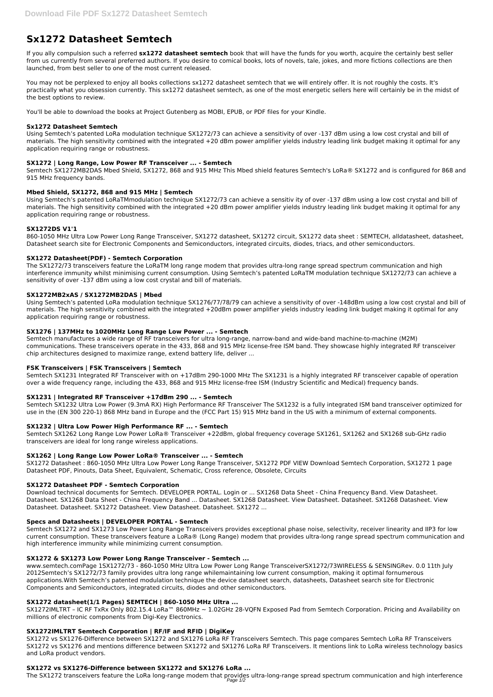# **Sx1272 Datasheet Semtech**

If you ally compulsion such a referred **sx1272 datasheet semtech** book that will have the funds for you worth, acquire the certainly best seller from us currently from several preferred authors. If you desire to comical books, lots of novels, tale, jokes, and more fictions collections are then launched, from best seller to one of the most current released.

You may not be perplexed to enjoy all books collections sx1272 datasheet semtech that we will entirely offer. It is not roughly the costs. It's practically what you obsession currently. This sx1272 datasheet semtech, as one of the most energetic sellers here will certainly be in the midst of the best options to review.

You'll be able to download the books at Project Gutenberg as MOBI, EPUB, or PDF files for your Kindle.

# **Sx1272 Datasheet Semtech**

Using Semtech's patented LoRa modulation technique SX1272/73 can achieve a sensitivity of over -137 dBm using a low cost crystal and bill of materials. The high sensitivity combined with the integrated +20 dBm power amplifier yields industry leading link budget making it optimal for any application requiring range or robustness.

# **SX1272 | Long Range, Low Power RF Transceiver ... - Semtech**

Semtech SX1272MB2DAS Mbed Shield, SX1272, 868 and 915 MHz This Mbed shield features Semtech's LoRa® SX1272 and is configured for 868 and 915 MHz frequency bands.

# **Mbed Shield, SX1272, 868 and 915 MHz | Semtech**

Using Semtech's patented LoRaTMmodulation technique SX1272/73 can achieve a sensitiv ity of over -137 dBm using a low cost crystal and bill of materials. The high sensitivity combined with the integrated +20 dBm power amplifier yields industry leading link budget making it optimal for any application requiring range or robustness.

# **SX1272DS V1'1**

860-1050 MHz Ultra Low Power Long Range Transceiver, SX1272 datasheet, SX1272 circuit, SX1272 data sheet : SEMTECH, alldatasheet, datasheet, Datasheet search site for Electronic Components and Semiconductors, integrated circuits, diodes, triacs, and other semiconductors.

# **SX1272 Datasheet(PDF) - Semtech Corporation**

The SX1272/73 transceivers feature the LoRaTM long range modem that provides ultra-long range spread spectrum communication and high interference immunity whilst minimising current consumption. Using Semtech's patented LoRaTM modulation technique SX1272/73 can achieve a sensitivity of over -137 dBm using a low cost crystal and bill of materials.

#### **SX1272MB2xAS / SX1272MB2DAS | Mbed**

Using Semtech's patented LoRa modulation technique SX1276/77/78/79 can achieve a sensitivity of over -148dBm using a low cost crystal and bill of materials. The high sensitivity combined with the integrated +20dBm power amplifier yields industry leading link budget making it optimal for any application requiring range or robustness.

# **SX1276 | 137MHz to 1020MHz Long Range Low Power ... - Semtech**

Semtech manufactures a wide range of RF transceivers for ultra long-range, narrow-band and wide-band machine-to-machine (M2M) communications. These transceivers operate in the 433, 868 and 915 MHz license-free ISM band. They showcase highly integrated RF transceiver chip architectures designed to maximize range, extend battery life, deliver ...

The SX1272 transceivers feature the LoRa long-range modem that provides ultra-long-range spread spectrum communication and high interference Page 1/2

# **FSK Transceivers | FSK Transceivers | Semtech**

Semtech SX1231 Integrated RF Transceiver with on +17dBm 290-1000 MHz The SX1231 is a highly integrated RF transceiver capable of operation over a wide frequency range, including the 433, 868 and 915 MHz license-free ISM (Industry Scientific and Medical) frequency bands.

# **SX1231 | Integrated RF Transceiver +17dBm 290 ... - Semtech**

Semtech SX1232 Ultra Low Power (9.3mA RX) High Performance RF Transceiver The SX1232 is a fully integrated ISM band transceiver optimized for use in the (EN 300 220-1) 868 MHz band in Europe and the (FCC Part 15) 915 MHz band in the US with a minimum of external components.

# **SX1232 | Ultra Low Power High Performance RF ... - Semtech**

Semtech SX1262 Long Range Low Power LoRa® Transceiver +22dBm, global frequency coverage SX1261, SX1262 and SX1268 sub-GHz radio transceivers are ideal for long range wireless applications.

#### **SX1262 | Long Range Low Power LoRa® Transceiver ... - Semtech**

SX1272 Datasheet : 860-1050 MHz Ultra Low Power Long Range Transceiver, SX1272 PDF VIEW Download Semtech Corporation, SX1272 1 page Datasheet PDF, Pinouts, Data Sheet, Equivalent, Schematic, Cross reference, Obsolete, Circuits

#### **SX1272 Datasheet PDF - Semtech Corporation**

Download technical documents for Semtech. DEVELOPER PORTAL. Login or ... SX1268 Data Sheet - China Frequency Band. View Datasheet. Datasheet. SX1268 Data Sheet - China Frequency Band ... Datasheet. SX1268 Datasheet. View Datasheet. Datasheet. SX1268 Datasheet. View Datasheet. Datasheet. SX1272 Datasheet. View Datasheet. Datasheet. SX1272 ...

#### **Specs and Datasheets | DEVELOPER PORTAL - Semtech**

Semtech SX1272 and SX1273 Low Power Long Range Transceivers provides exceptional phase noise, selectivity, receiver linearity and IIP3 for low current consumption. These transceivers feature a LoRa® (Long Range) modem that provides ultra-long range spread spectrum communication and high interference immunity while minimizing current consumption.

## **SX1272 & SX1273 Low Power Long Range Transceiver - Semtech ...**

www.semtech.comPage 1SX1272/73 - 860-1050 MHz Ultra Low Power Long Range TransceiverSX1272/73WIRELESS & SENSINGRev. 0.0 11th July 2012Semtech's SX1272/73 family provides ultra long range whilemaintaining low current consumption, making it optimal fornumerous applications.With Semtech's patented modulation technique the device datasheet search, datasheets, Datasheet search site for Electronic Components and Semiconductors, integrated circuits, diodes and other semiconductors.

#### **SX1272 datasheet(1/1 Pages) SEMTECH | 860-1050 MHz Ultra ...**

SX1272IMLTRT – IC RF TxRx Only 802.15.4 LoRa™ 860MHz ~ 1.02GHz 28-VQFN Exposed Pad from Semtech Corporation. Pricing and Availability on millions of electronic components from Digi-Key Electronics.

## **SX1272IMLTRT Semtech Corporation | RF/IF and RFID | DigiKey**

SX1272 vs SX1276-Difference between SX1272 and SX1276 LoRa RF Transceivers Semtech. This page compares Semtech LoRa RF Transceivers SX1272 vs SX1276 and mentions difference between SX1272 and SX1276 LoRa RF Transceivers. It mentions link to LoRa wireless technology basics and LoRa product vendors.

#### **SX1272 vs SX1276-Difference between SX1272 and SX1276 LoRa ...**